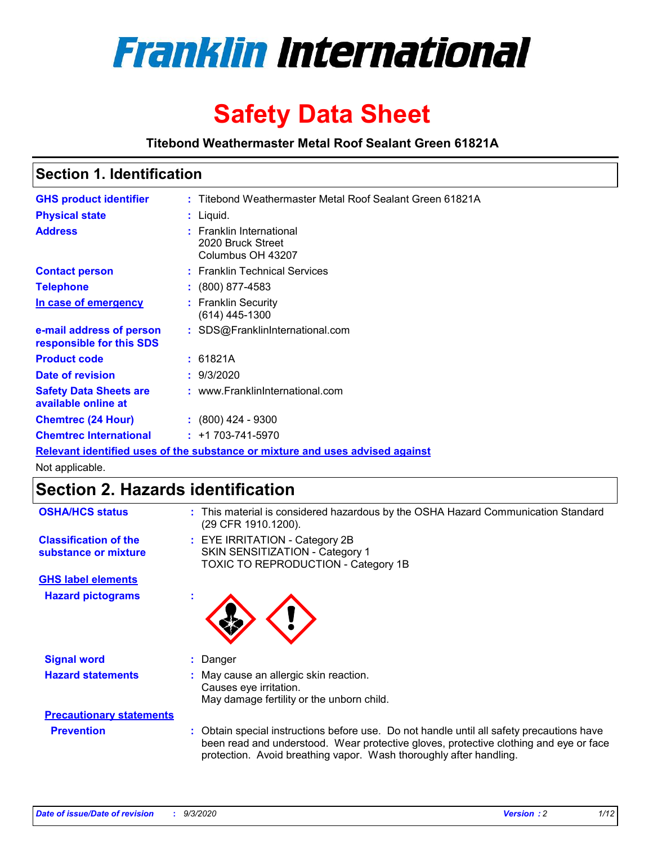

# **Safety Data Sheet**

**Titebond Weathermaster Metal Roof Sealant Green 61821A**

### **Section 1. Identification**

| <b>GHS product identifier</b>                                                 |  | : Titebond Weathermaster Metal Roof Sealant Green 61821A           |  |  |
|-------------------------------------------------------------------------------|--|--------------------------------------------------------------------|--|--|
| <b>Physical state</b>                                                         |  | : Liquid.                                                          |  |  |
| <b>Address</b>                                                                |  | : Franklin International<br>2020 Bruck Street<br>Columbus OH 43207 |  |  |
| <b>Contact person</b>                                                         |  | : Franklin Technical Services                                      |  |  |
| <b>Telephone</b>                                                              |  | $\div$ (800) 877-4583                                              |  |  |
| In case of emergency                                                          |  | : Franklin Security<br>$(614)$ 445-1300                            |  |  |
| e-mail address of person<br>responsible for this SDS                          |  | : SDS@FranklinInternational.com                                    |  |  |
| <b>Product code</b>                                                           |  | : 61821A                                                           |  |  |
| Date of revision                                                              |  | : 9/3/2020                                                         |  |  |
| <b>Safety Data Sheets are</b><br>available online at                          |  | : www.FranklinInternational.com                                    |  |  |
| <b>Chemtrec (24 Hour)</b>                                                     |  | $: (800)$ 424 - 9300                                               |  |  |
| <b>Chemtrec International</b>                                                 |  | $: +1703 - 741 - 5970$                                             |  |  |
| Relevant identified uses of the substance or mixture and uses advised against |  |                                                                    |  |  |

Not applicable.

## **Section 2. Hazards identification**

| <b>OSHA/HCS status</b>                               |    | : This material is considered hazardous by the OSHA Hazard Communication Standard<br>(29 CFR 1910.1200).                                                                                                                                                 |
|------------------------------------------------------|----|----------------------------------------------------------------------------------------------------------------------------------------------------------------------------------------------------------------------------------------------------------|
| <b>Classification of the</b><br>substance or mixture |    | : EYE IRRITATION - Category 2B<br>SKIN SENSITIZATION - Category 1<br>TOXIC TO REPRODUCTION - Category 1B                                                                                                                                                 |
| <b>GHS label elements</b>                            |    |                                                                                                                                                                                                                                                          |
| <b>Hazard pictograms</b>                             | ×. |                                                                                                                                                                                                                                                          |
| <b>Signal word</b>                                   | ÷. | Danger                                                                                                                                                                                                                                                   |
| <b>Hazard statements</b>                             |    | May cause an allergic skin reaction.<br>Causes eye irritation.<br>May damage fertility or the unborn child.                                                                                                                                              |
| <b>Precautionary statements</b>                      |    |                                                                                                                                                                                                                                                          |
| <b>Prevention</b>                                    |    | : Obtain special instructions before use. Do not handle until all safety precautions have<br>been read and understood. Wear protective gloves, protective clothing and eye or face<br>protection. Avoid breathing vapor. Wash thoroughly after handling. |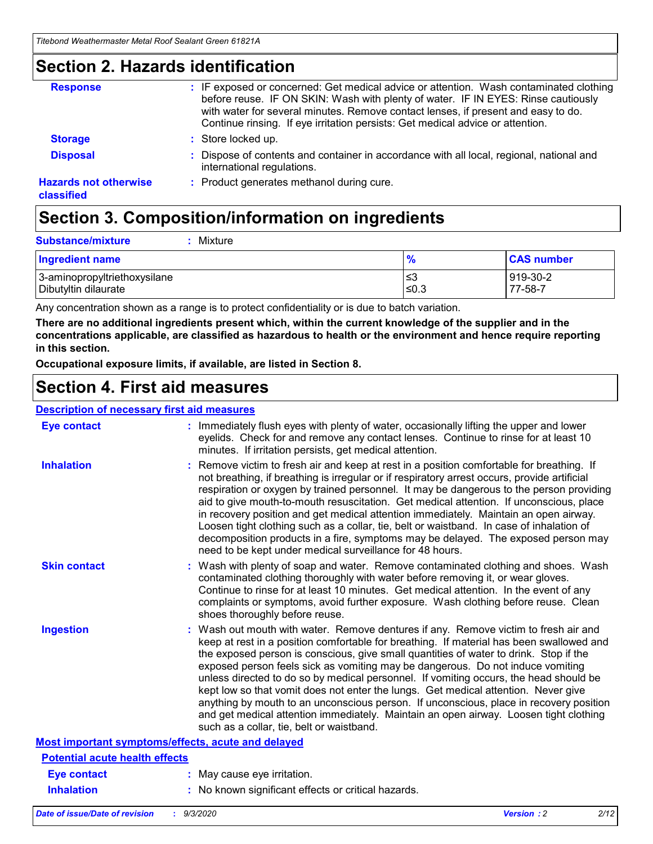### **Section 2. Hazards identification**

| <b>Response</b>                            | : IF exposed or concerned: Get medical advice or attention. Wash contaminated clothing<br>before reuse. IF ON SKIN: Wash with plenty of water. IF IN EYES: Rinse cautiously<br>with water for several minutes. Remove contact lenses, if present and easy to do.<br>Continue rinsing. If eye irritation persists: Get medical advice or attention. |
|--------------------------------------------|----------------------------------------------------------------------------------------------------------------------------------------------------------------------------------------------------------------------------------------------------------------------------------------------------------------------------------------------------|
| <b>Storage</b>                             | : Store locked up.                                                                                                                                                                                                                                                                                                                                 |
| <b>Disposal</b>                            | : Dispose of contents and container in accordance with all local, regional, national and<br>international regulations.                                                                                                                                                                                                                             |
| <b>Hazards not otherwise</b><br>classified | : Product generates methanol during cure.                                                                                                                                                                                                                                                                                                          |

## **Section 3. Composition/information on ingredients**

| <b>Substance/mixture</b> |  | : Mixture |
|--------------------------|--|-----------|
|--------------------------|--|-----------|

| <b>Ingredient name</b>       | $\frac{9}{6}$ | <b>CAS number</b> |
|------------------------------|---------------|-------------------|
| 3-aminopropyltriethoxysilane | ≤3            | 919-30-2          |
| Dibutyltin dilaurate         | ∣≤0.3         | 77-58-7           |

Any concentration shown as a range is to protect confidentiality or is due to batch variation.

**There are no additional ingredients present which, within the current knowledge of the supplier and in the concentrations applicable, are classified as hazardous to health or the environment and hence require reporting in this section.**

**Occupational exposure limits, if available, are listed in Section 8.**

### **Section 4. First aid measures**

| <b>Description of necessary first aid measures</b> |                                                                                                                                                                                                                                                                                                                                                                                                                                                                                                                                                                                                                                                                                                                                                                           |
|----------------------------------------------------|---------------------------------------------------------------------------------------------------------------------------------------------------------------------------------------------------------------------------------------------------------------------------------------------------------------------------------------------------------------------------------------------------------------------------------------------------------------------------------------------------------------------------------------------------------------------------------------------------------------------------------------------------------------------------------------------------------------------------------------------------------------------------|
| <b>Eye contact</b>                                 | : Immediately flush eyes with plenty of water, occasionally lifting the upper and lower<br>eyelids. Check for and remove any contact lenses. Continue to rinse for at least 10<br>minutes. If irritation persists, get medical attention.                                                                                                                                                                                                                                                                                                                                                                                                                                                                                                                                 |
| <b>Inhalation</b>                                  | : Remove victim to fresh air and keep at rest in a position comfortable for breathing. If<br>not breathing, if breathing is irregular or if respiratory arrest occurs, provide artificial<br>respiration or oxygen by trained personnel. It may be dangerous to the person providing<br>aid to give mouth-to-mouth resuscitation. Get medical attention. If unconscious, place<br>in recovery position and get medical attention immediately. Maintain an open airway.<br>Loosen tight clothing such as a collar, tie, belt or waistband. In case of inhalation of<br>decomposition products in a fire, symptoms may be delayed. The exposed person may<br>need to be kept under medical surveillance for 48 hours.                                                       |
| <b>Skin contact</b>                                | : Wash with plenty of soap and water. Remove contaminated clothing and shoes. Wash<br>contaminated clothing thoroughly with water before removing it, or wear gloves.<br>Continue to rinse for at least 10 minutes. Get medical attention. In the event of any<br>complaints or symptoms, avoid further exposure. Wash clothing before reuse. Clean<br>shoes thoroughly before reuse.                                                                                                                                                                                                                                                                                                                                                                                     |
| <b>Ingestion</b>                                   | : Wash out mouth with water. Remove dentures if any. Remove victim to fresh air and<br>keep at rest in a position comfortable for breathing. If material has been swallowed and<br>the exposed person is conscious, give small quantities of water to drink. Stop if the<br>exposed person feels sick as vomiting may be dangerous. Do not induce vomiting<br>unless directed to do so by medical personnel. If vomiting occurs, the head should be<br>kept low so that vomit does not enter the lungs. Get medical attention. Never give<br>anything by mouth to an unconscious person. If unconscious, place in recovery position<br>and get medical attention immediately. Maintain an open airway. Loosen tight clothing<br>such as a collar, tie, belt or waistband. |
| Most important symptoms/effects, acute and delayed |                                                                                                                                                                                                                                                                                                                                                                                                                                                                                                                                                                                                                                                                                                                                                                           |
| <b>Potential acute health effects</b>              |                                                                                                                                                                                                                                                                                                                                                                                                                                                                                                                                                                                                                                                                                                                                                                           |
| Eye contact                                        | : May cause eye irritation.                                                                                                                                                                                                                                                                                                                                                                                                                                                                                                                                                                                                                                                                                                                                               |
| <b>Inhalation</b>                                  | : No known significant effects or critical hazards.                                                                                                                                                                                                                                                                                                                                                                                                                                                                                                                                                                                                                                                                                                                       |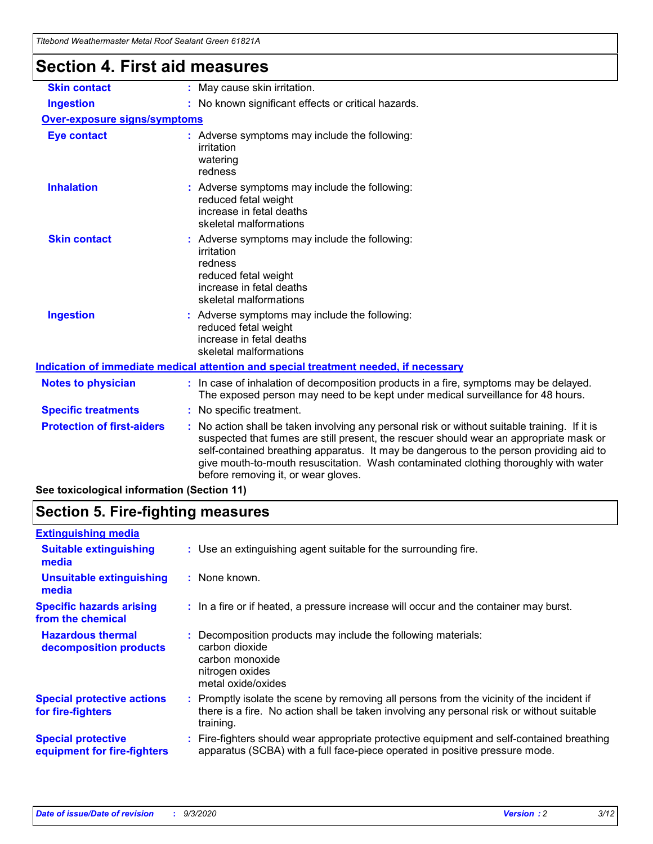|                                      | i kebong Wealhenhasier Melai Roof Sealahi Green 61621A                                                                                                                                                                                                                                                                                                                                                        |
|--------------------------------------|---------------------------------------------------------------------------------------------------------------------------------------------------------------------------------------------------------------------------------------------------------------------------------------------------------------------------------------------------------------------------------------------------------------|
| <b>Section 4. First aid measures</b> |                                                                                                                                                                                                                                                                                                                                                                                                               |
| <b>Skin contact</b>                  | : May cause skin irritation.                                                                                                                                                                                                                                                                                                                                                                                  |
| <b>Ingestion</b>                     | : No known significant effects or critical hazards.                                                                                                                                                                                                                                                                                                                                                           |
| <b>Over-exposure signs/symptoms</b>  |                                                                                                                                                                                                                                                                                                                                                                                                               |
| <b>Eye contact</b>                   | : Adverse symptoms may include the following:<br>irritation<br>watering<br>redness                                                                                                                                                                                                                                                                                                                            |
| <b>Inhalation</b>                    | : Adverse symptoms may include the following:<br>reduced fetal weight<br>increase in fetal deaths<br>skeletal malformations                                                                                                                                                                                                                                                                                   |
| <b>Skin contact</b>                  | : Adverse symptoms may include the following:<br>irritation<br>redness<br>reduced fetal weight<br>increase in fetal deaths<br>skeletal malformations                                                                                                                                                                                                                                                          |
| <b>Ingestion</b>                     | : Adverse symptoms may include the following:<br>reduced fetal weight<br>increase in fetal deaths<br>skeletal malformations                                                                                                                                                                                                                                                                                   |
|                                      | Indication of immediate medical attention and special treatment needed, if necessary                                                                                                                                                                                                                                                                                                                          |
| <b>Notes to physician</b>            | : In case of inhalation of decomposition products in a fire, symptoms may be delayed.<br>The exposed person may need to be kept under medical surveillance for 48 hours.                                                                                                                                                                                                                                      |
| <b>Specific treatments</b>           | : No specific treatment.                                                                                                                                                                                                                                                                                                                                                                                      |
| <b>Protection of first-aiders</b>    | No action shall be taken involving any personal risk or without suitable training. If it is<br>suspected that fumes are still present, the rescuer should wear an appropriate mask or<br>self-contained breathing apparatus. It may be dangerous to the person providing aid to<br>give mouth-to-mouth resuscitation. Wash contaminated clothing thoroughly with water<br>before removing it, or wear gloves. |

**See toxicological information (Section 11)**

### **Section 5. Fire-fighting measures**

| <b>Extinguishing media</b>                               |                                                                                                                                                                                                     |
|----------------------------------------------------------|-----------------------------------------------------------------------------------------------------------------------------------------------------------------------------------------------------|
| <b>Suitable extinguishing</b><br>media                   | : Use an extinguishing agent suitable for the surrounding fire.                                                                                                                                     |
| <b>Unsuitable extinguishing</b><br>media                 | : None known.                                                                                                                                                                                       |
| <b>Specific hazards arising</b><br>from the chemical     | : In a fire or if heated, a pressure increase will occur and the container may burst.                                                                                                               |
| <b>Hazardous thermal</b><br>decomposition products       | Decomposition products may include the following materials:<br>carbon dioxide<br>carbon monoxide<br>nitrogen oxides<br>metal oxide/oxides                                                           |
| <b>Special protective actions</b><br>for fire-fighters   | : Promptly isolate the scene by removing all persons from the vicinity of the incident if<br>there is a fire. No action shall be taken involving any personal risk or without suitable<br>training. |
| <b>Special protective</b><br>equipment for fire-fighters | Fire-fighters should wear appropriate protective equipment and self-contained breathing<br>apparatus (SCBA) with a full face-piece operated in positive pressure mode.                              |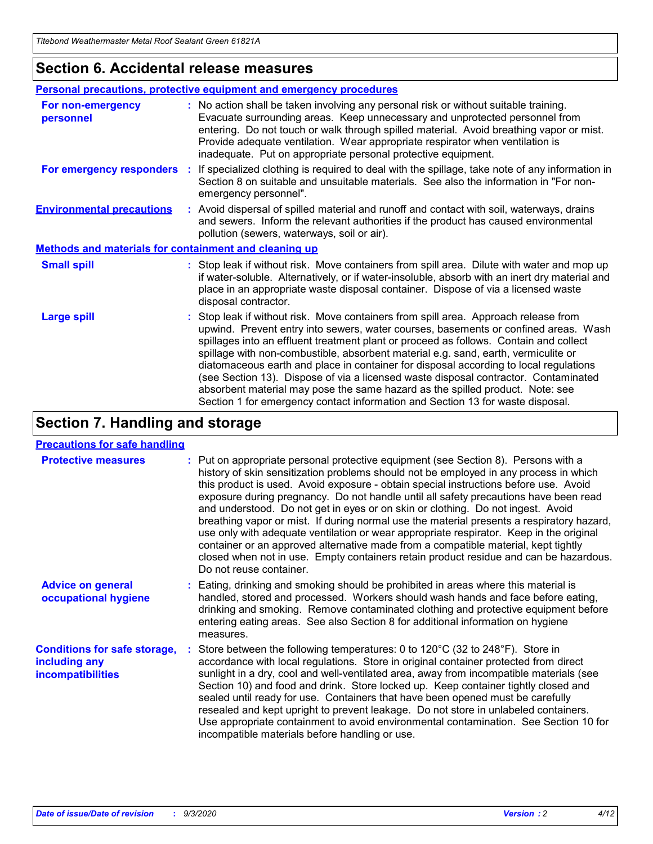### **Section 6. Accidental release measures**

|                                                              | <b>Personal precautions, protective equipment and emergency procedures</b>                                                                                                                                                                                                                                                                                                                                                                                                                                                                                                                                                                                                                                   |  |  |  |
|--------------------------------------------------------------|--------------------------------------------------------------------------------------------------------------------------------------------------------------------------------------------------------------------------------------------------------------------------------------------------------------------------------------------------------------------------------------------------------------------------------------------------------------------------------------------------------------------------------------------------------------------------------------------------------------------------------------------------------------------------------------------------------------|--|--|--|
| For non-emergency<br>personnel                               | : No action shall be taken involving any personal risk or without suitable training.<br>Evacuate surrounding areas. Keep unnecessary and unprotected personnel from<br>entering. Do not touch or walk through spilled material. Avoid breathing vapor or mist.<br>Provide adequate ventilation. Wear appropriate respirator when ventilation is<br>inadequate. Put on appropriate personal protective equipment.                                                                                                                                                                                                                                                                                             |  |  |  |
| For emergency responders                                     | : If specialized clothing is required to deal with the spillage, take note of any information in<br>Section 8 on suitable and unsuitable materials. See also the information in "For non-<br>emergency personnel".                                                                                                                                                                                                                                                                                                                                                                                                                                                                                           |  |  |  |
| <b>Environmental precautions</b>                             | : Avoid dispersal of spilled material and runoff and contact with soil, waterways, drains<br>and sewers. Inform the relevant authorities if the product has caused environmental<br>pollution (sewers, waterways, soil or air).                                                                                                                                                                                                                                                                                                                                                                                                                                                                              |  |  |  |
| <b>Methods and materials for containment and cleaning up</b> |                                                                                                                                                                                                                                                                                                                                                                                                                                                                                                                                                                                                                                                                                                              |  |  |  |
| <b>Small spill</b>                                           | : Stop leak if without risk. Move containers from spill area. Dilute with water and mop up<br>if water-soluble. Alternatively, or if water-insoluble, absorb with an inert dry material and<br>place in an appropriate waste disposal container. Dispose of via a licensed waste<br>disposal contractor.                                                                                                                                                                                                                                                                                                                                                                                                     |  |  |  |
| <b>Large spill</b>                                           | : Stop leak if without risk. Move containers from spill area. Approach release from<br>upwind. Prevent entry into sewers, water courses, basements or confined areas. Wash<br>spillages into an effluent treatment plant or proceed as follows. Contain and collect<br>spillage with non-combustible, absorbent material e.g. sand, earth, vermiculite or<br>diatomaceous earth and place in container for disposal according to local regulations<br>(see Section 13). Dispose of via a licensed waste disposal contractor. Contaminated<br>absorbent material may pose the same hazard as the spilled product. Note: see<br>Section 1 for emergency contact information and Section 13 for waste disposal. |  |  |  |

### **Section 7. Handling and storage**

#### **Precautions for safe handling**

| <b>Protective measures</b>                                                       | : Put on appropriate personal protective equipment (see Section 8). Persons with a<br>history of skin sensitization problems should not be employed in any process in which<br>this product is used. Avoid exposure - obtain special instructions before use. Avoid<br>exposure during pregnancy. Do not handle until all safety precautions have been read<br>and understood. Do not get in eyes or on skin or clothing. Do not ingest. Avoid<br>breathing vapor or mist. If during normal use the material presents a respiratory hazard,<br>use only with adequate ventilation or wear appropriate respirator. Keep in the original<br>container or an approved alternative made from a compatible material, kept tightly<br>closed when not in use. Empty containers retain product residue and can be hazardous.<br>Do not reuse container. |
|----------------------------------------------------------------------------------|--------------------------------------------------------------------------------------------------------------------------------------------------------------------------------------------------------------------------------------------------------------------------------------------------------------------------------------------------------------------------------------------------------------------------------------------------------------------------------------------------------------------------------------------------------------------------------------------------------------------------------------------------------------------------------------------------------------------------------------------------------------------------------------------------------------------------------------------------|
| <b>Advice on general</b><br>occupational hygiene                                 | : Eating, drinking and smoking should be prohibited in areas where this material is<br>handled, stored and processed. Workers should wash hands and face before eating,<br>drinking and smoking. Remove contaminated clothing and protective equipment before<br>entering eating areas. See also Section 8 for additional information on hygiene<br>measures.                                                                                                                                                                                                                                                                                                                                                                                                                                                                                    |
| <b>Conditions for safe storage,</b><br>including any<br><i>incompatibilities</i> | Store between the following temperatures: 0 to 120°C (32 to 248°F). Store in<br>accordance with local regulations. Store in original container protected from direct<br>sunlight in a dry, cool and well-ventilated area, away from incompatible materials (see<br>Section 10) and food and drink. Store locked up. Keep container tightly closed and<br>sealed until ready for use. Containers that have been opened must be carefully<br>resealed and kept upright to prevent leakage. Do not store in unlabeled containers.<br>Use appropriate containment to avoid environmental contamination. See Section 10 for<br>incompatible materials before handling or use.                                                                                                                                                                         |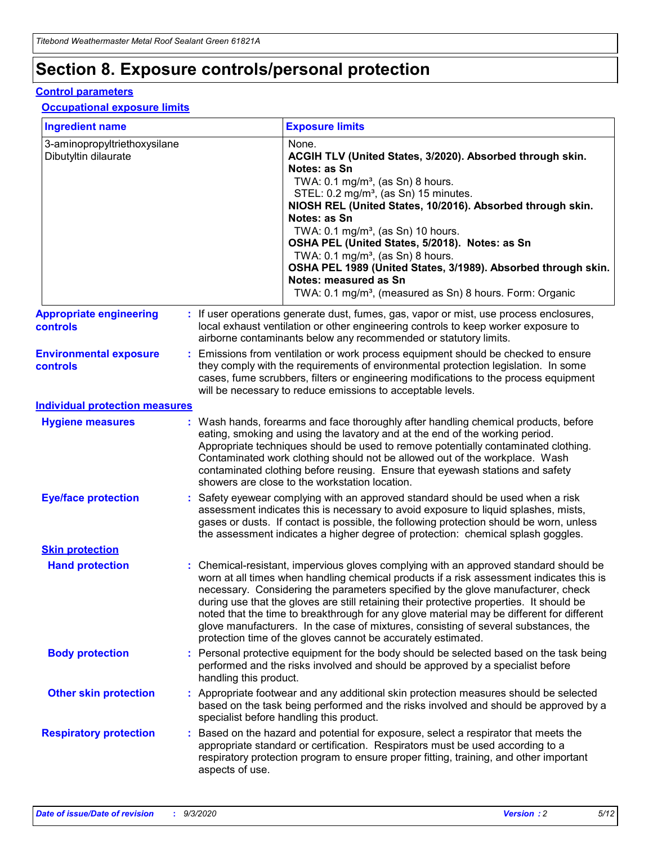## **Section 8. Exposure controls/personal protection**

#### **Control parameters**

#### **Occupational exposure limits**

| <b>Ingredient name</b>                               |    |                        | <b>Exposure limits</b>                                                                                                                                                                                                                                                                                                                                                                                                                                                                                                                                                                                                 |
|------------------------------------------------------|----|------------------------|------------------------------------------------------------------------------------------------------------------------------------------------------------------------------------------------------------------------------------------------------------------------------------------------------------------------------------------------------------------------------------------------------------------------------------------------------------------------------------------------------------------------------------------------------------------------------------------------------------------------|
| 3-aminopropyltriethoxysilane<br>Dibutyltin dilaurate |    |                        | None.<br>ACGIH TLV (United States, 3/2020). Absorbed through skin.<br>Notes: as Sn<br>TWA: $0.1 \text{ mg/m}^3$ , (as Sn) 8 hours.<br>STEL: 0.2 mg/m <sup>3</sup> , (as Sn) 15 minutes.<br>NIOSH REL (United States, 10/2016). Absorbed through skin.<br>Notes: as Sn<br>TWA: 0.1 mg/m <sup>3</sup> , (as Sn) 10 hours.<br>OSHA PEL (United States, 5/2018). Notes: as Sn<br>TWA: $0.1 \text{ mg/m}^3$ , (as Sn) 8 hours.<br>OSHA PEL 1989 (United States, 3/1989). Absorbed through skin.<br>Notes: measured as Sn<br>TWA: 0.1 mg/m <sup>3</sup> , (measured as Sn) 8 hours. Form: Organic                            |
| <b>Appropriate engineering</b><br>controls           |    |                        | : If user operations generate dust, fumes, gas, vapor or mist, use process enclosures,<br>local exhaust ventilation or other engineering controls to keep worker exposure to<br>airborne contaminants below any recommended or statutory limits.                                                                                                                                                                                                                                                                                                                                                                       |
| <b>Environmental exposure</b><br>controls            |    |                        | Emissions from ventilation or work process equipment should be checked to ensure<br>they comply with the requirements of environmental protection legislation. In some<br>cases, fume scrubbers, filters or engineering modifications to the process equipment<br>will be necessary to reduce emissions to acceptable levels.                                                                                                                                                                                                                                                                                          |
| <b>Individual protection measures</b>                |    |                        |                                                                                                                                                                                                                                                                                                                                                                                                                                                                                                                                                                                                                        |
| <b>Hygiene measures</b>                              |    |                        | : Wash hands, forearms and face thoroughly after handling chemical products, before<br>eating, smoking and using the lavatory and at the end of the working period.<br>Appropriate techniques should be used to remove potentially contaminated clothing.<br>Contaminated work clothing should not be allowed out of the workplace. Wash<br>contaminated clothing before reusing. Ensure that eyewash stations and safety<br>showers are close to the workstation location.                                                                                                                                            |
| <b>Eye/face protection</b>                           |    |                        | : Safety eyewear complying with an approved standard should be used when a risk<br>assessment indicates this is necessary to avoid exposure to liquid splashes, mists,<br>gases or dusts. If contact is possible, the following protection should be worn, unless<br>the assessment indicates a higher degree of protection: chemical splash goggles.                                                                                                                                                                                                                                                                  |
| <b>Skin protection</b>                               |    |                        |                                                                                                                                                                                                                                                                                                                                                                                                                                                                                                                                                                                                                        |
| <b>Hand protection</b>                               |    |                        | : Chemical-resistant, impervious gloves complying with an approved standard should be<br>worn at all times when handling chemical products if a risk assessment indicates this is<br>necessary. Considering the parameters specified by the glove manufacturer, check<br>during use that the gloves are still retaining their protective properties. It should be<br>noted that the time to breakthrough for any glove material may be different for different<br>glove manufacturers. In the case of mixtures, consisting of several substances, the<br>protection time of the gloves cannot be accurately estimated. |
| <b>Body protection</b>                               |    | handling this product. | Personal protective equipment for the body should be selected based on the task being<br>performed and the risks involved and should be approved by a specialist before                                                                                                                                                                                                                                                                                                                                                                                                                                                |
| <b>Other skin protection</b>                         |    |                        | : Appropriate footwear and any additional skin protection measures should be selected<br>based on the task being performed and the risks involved and should be approved by a<br>specialist before handling this product.                                                                                                                                                                                                                                                                                                                                                                                              |
| <b>Respiratory protection</b>                        | ÷. | aspects of use.        | Based on the hazard and potential for exposure, select a respirator that meets the<br>appropriate standard or certification. Respirators must be used according to a<br>respiratory protection program to ensure proper fitting, training, and other important                                                                                                                                                                                                                                                                                                                                                         |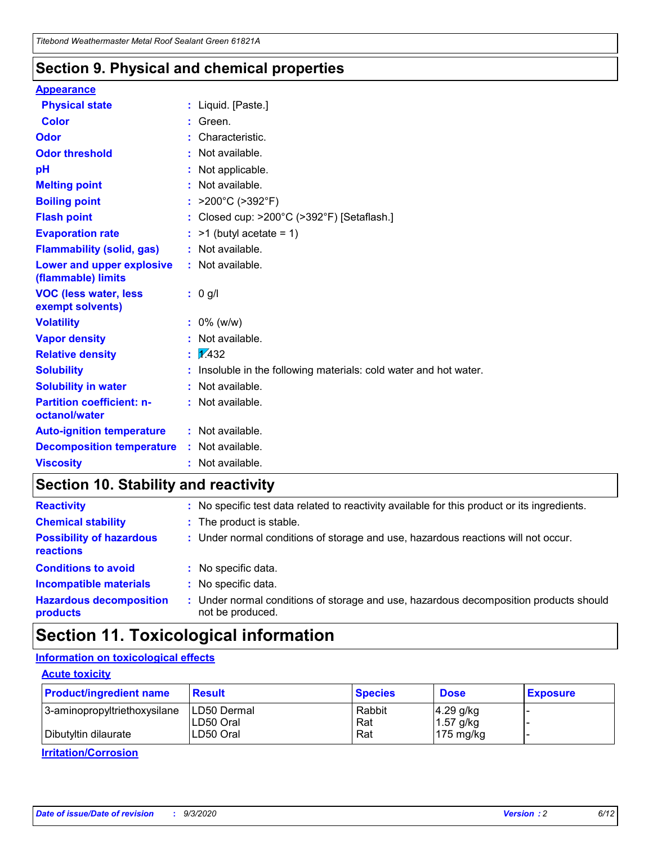### **Section 9. Physical and chemical properties**

#### **Appearance**

| <b>Physical state</b>                                  |   | : Liquid. [Paste.]                                              |
|--------------------------------------------------------|---|-----------------------------------------------------------------|
| <b>Color</b>                                           |   | Green.                                                          |
| Odor                                                   |   | Characteristic.                                                 |
| <b>Odor threshold</b>                                  | ÷ | Not available.                                                  |
| рH                                                     |   | Not applicable.                                                 |
| <b>Melting point</b>                                   |   | : Not available.                                                |
| <b>Boiling point</b>                                   |   | : $>200^{\circ}$ C ( $>392^{\circ}$ F)                          |
| <b>Flash point</b>                                     |   | Closed cup: >200°C (>392°F) [Setaflash.]                        |
| <b>Evaporation rate</b>                                |   | $:$ >1 (butyl acetate = 1)                                      |
| <b>Flammability (solid, gas)</b>                       |   | : Not available.                                                |
| <b>Lower and upper explosive</b><br>(flammable) limits |   | : Not available.                                                |
| <b>VOC (less water, less)</b><br>exempt solvents)      |   | : 0 g/l                                                         |
| <b>Volatility</b>                                      |   | $: 0\%$ (w/w)                                                   |
| <b>Vapor density</b>                                   |   | Not available.                                                  |
| <b>Relative density</b>                                |   | $\mathbf{1}$ $\mathbf{\sqrt{432}}$                              |
| <b>Solubility</b>                                      |   | Insoluble in the following materials: cold water and hot water. |
| <b>Solubility in water</b>                             |   | Not available.                                                  |
| <b>Partition coefficient: n-</b><br>octanol/water      |   | : Not available.                                                |
| <b>Auto-ignition temperature</b>                       |   | : Not available.                                                |
| <b>Decomposition temperature</b>                       |   | : Not available.                                                |
| <b>Viscosity</b>                                       |   | $:$ Not available.                                              |

### **Section 10. Stability and reactivity**

| <b>Reactivity</b>                            |    | : No specific test data related to reactivity available for this product or its ingredients.            |
|----------------------------------------------|----|---------------------------------------------------------------------------------------------------------|
| <b>Chemical stability</b>                    |    | : The product is stable.                                                                                |
| <b>Possibility of hazardous</b><br>reactions |    | : Under normal conditions of storage and use, hazardous reactions will not occur.                       |
| <b>Conditions to avoid</b>                   |    | : No specific data.                                                                                     |
| <b>Incompatible materials</b>                |    | : No specific data.                                                                                     |
| <b>Hazardous decomposition</b><br>products   | t. | Under normal conditions of storage and use, hazardous decomposition products should<br>not be produced. |

## **Section 11. Toxicological information**

#### **Information on toxicological effects**

#### **Acute toxicity**

| <b>Product/ingredient name</b> | <b>Result</b>           | <b>Species</b> | <b>Dose</b>                | <b>Exposure</b> |
|--------------------------------|-------------------------|----------------|----------------------------|-----------------|
| 3-aminopropyltriethoxysilane   | <b>ILD50 Dermal</b>     | Rabbit         | 4.29 g/kg                  |                 |
| Dibutyltin dilaurate           | ILD50 Oral<br>LD50 Oral | Rat<br>Rat     | $1.57$ g/kg<br>175 $mg/kg$ |                 |
|                                |                         |                |                            |                 |

**Irritation/Corrosion**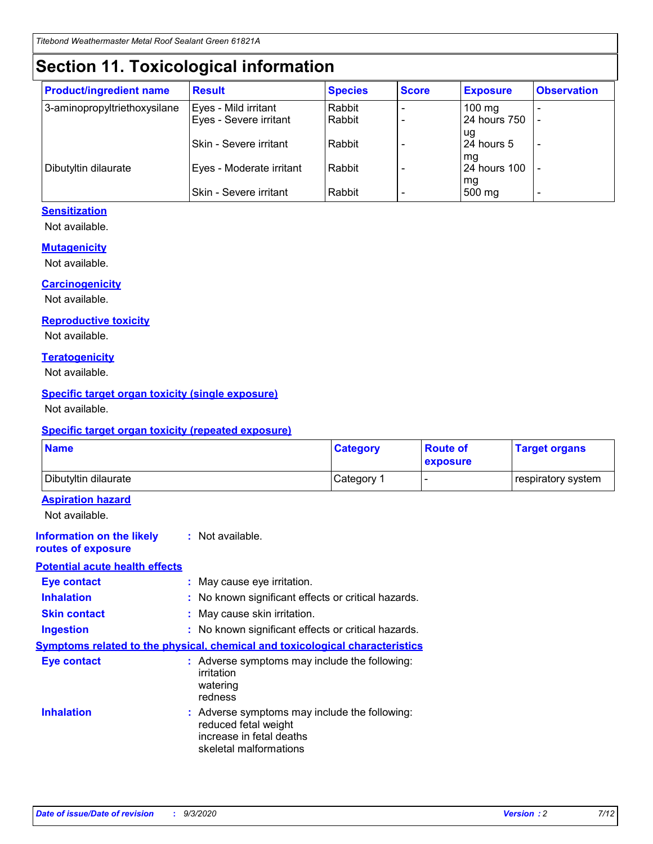## **Section 11. Toxicological information**

| <b>Product/ingredient name</b> | <b>Result</b>            | <b>Species</b> | <b>Score</b> | <b>Exposure</b>    | <b>Observation</b> |
|--------------------------------|--------------------------|----------------|--------------|--------------------|--------------------|
| 3-aminopropyltriethoxysilane   | Eyes - Mild irritant     | Rabbit         |              | $100 \text{ mg}$   |                    |
|                                | Eyes - Severe irritant   | Rabbit         |              | 24 hours 750       |                    |
|                                |                          |                |              | ug                 |                    |
|                                | Skin - Severe irritant   | Rabbit         |              | 24 hours 5         | -                  |
| Dibutyltin dilaurate           | Eyes - Moderate irritant | Rabbit         |              | mg<br>24 hours 100 |                    |
|                                |                          |                |              | mg                 |                    |
|                                | Skin - Severe irritant   | Rabbit         |              | 500 mg             | -                  |

#### **Sensitization**

Not available.

#### **Mutagenicity**

Not available.

#### **Carcinogenicity**

Not available.

#### **Reproductive toxicity**

Not available.

#### **Teratogenicity**

Not available.

#### **Specific target organ toxicity (single exposure)**

Not available.

#### **Specific target organ toxicity (repeated exposure)**

| <b>Name</b>                                                                  |                                                                            | <b>Category</b>                                     | <b>Route of</b><br>exposure  | <b>Target organs</b> |  |
|------------------------------------------------------------------------------|----------------------------------------------------------------------------|-----------------------------------------------------|------------------------------|----------------------|--|
| Dibutyltin dilaurate                                                         |                                                                            | Category 1                                          | $\qquad \qquad \blacksquare$ | respiratory system   |  |
| <b>Aspiration hazard</b><br>Not available.                                   |                                                                            |                                                     |                              |                      |  |
| <b>Information on the likely</b><br>routes of exposure                       | : Not available.                                                           |                                                     |                              |                      |  |
| <b>Potential acute health effects</b>                                        |                                                                            |                                                     |                              |                      |  |
| Eye contact                                                                  | : May cause eye irritation.                                                |                                                     |                              |                      |  |
| <b>Inhalation</b>                                                            |                                                                            | : No known significant effects or critical hazards. |                              |                      |  |
| <b>Skin contact</b>                                                          |                                                                            | : May cause skin irritation.                        |                              |                      |  |
| <b>Ingestion</b>                                                             |                                                                            | : No known significant effects or critical hazards. |                              |                      |  |
| Symptoms related to the physical, chemical and toxicological characteristics |                                                                            |                                                     |                              |                      |  |
| <b>Eye contact</b>                                                           | irritation<br>watering<br>redness                                          | : Adverse symptoms may include the following:       |                              |                      |  |
| <b>Inhalation</b>                                                            | reduced fetal weight<br>increase in fetal deaths<br>skeletal malformations | : Adverse symptoms may include the following:       |                              |                      |  |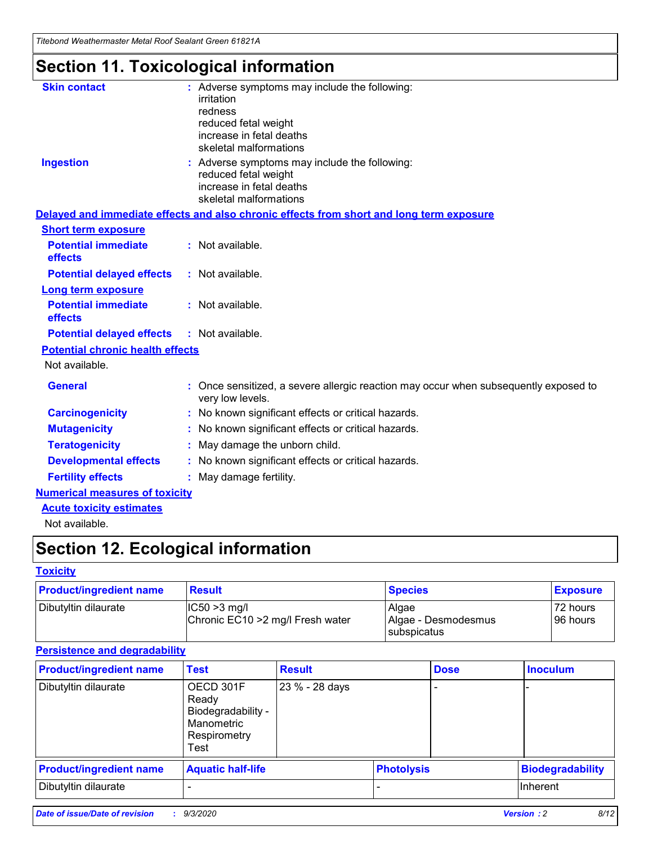*Titebond Weathermaster Metal Roof Sealant Green 61821A*

## **Section 11. Toxicological information**

| <b>Skin contact</b>                     | : Adverse symptoms may include the following:<br>irritation<br>redness<br>reduced fetal weight<br>increase in fetal deaths<br>skeletal malformations |  |
|-----------------------------------------|------------------------------------------------------------------------------------------------------------------------------------------------------|--|
| <b>Ingestion</b>                        | : Adverse symptoms may include the following:<br>reduced fetal weight<br>increase in fetal deaths<br>skeletal malformations                          |  |
|                                         | Delayed and immediate effects and also chronic effects from short and long term exposure                                                             |  |
| <b>Short term exposure</b>              |                                                                                                                                                      |  |
| <b>Potential immediate</b><br>effects   | : Not available.                                                                                                                                     |  |
| <b>Potential delayed effects</b>        | : Not available.                                                                                                                                     |  |
| <b>Long term exposure</b>               |                                                                                                                                                      |  |
| <b>Potential immediate</b><br>effects   | : Not available.                                                                                                                                     |  |
| <b>Potential delayed effects</b>        | : Not available.                                                                                                                                     |  |
| <b>Potential chronic health effects</b> |                                                                                                                                                      |  |
| Not available.                          |                                                                                                                                                      |  |
| <b>General</b>                          | Once sensitized, a severe allergic reaction may occur when subsequently exposed to<br>very low levels.                                               |  |
| <b>Carcinogenicity</b>                  | No known significant effects or critical hazards.                                                                                                    |  |
| <b>Mutagenicity</b>                     | : No known significant effects or critical hazards.                                                                                                  |  |
| <b>Teratogenicity</b>                   | May damage the unborn child.                                                                                                                         |  |
| <b>Developmental effects</b>            | : No known significant effects or critical hazards.                                                                                                  |  |
| <b>Fertility effects</b>                | : May damage fertility.                                                                                                                              |  |
| <b>Numerical measures of toxicity</b>   |                                                                                                                                                      |  |
| <b>Acute toxicity estimates</b>         |                                                                                                                                                      |  |
| Not ovoilable                           |                                                                                                                                                      |  |

Not available.

## **Section 12. Ecological information**

#### **Toxicity**

| <b>Product/ingredient name</b> | <b>Result</b>                                       | <b>Species</b>               | <b>Exposure</b>       |
|--------------------------------|-----------------------------------------------------|------------------------------|-----------------------|
| Dibutyltin dilaurate           | $ CC50>3$ mg/l<br>Chronic EC10 > 2 mg/l Fresh water | Algae<br>Algae - Desmodesmus | 72 hours<br>196 hours |
|                                |                                                     | <b>I</b> subspicatus         |                       |

#### **Persistence and degradability**

| <b>Product/ingredient name</b> | <b>Test</b>                                                                    | <b>Result</b>  |                   | <b>Dose</b> | <b>Inoculum</b>         |
|--------------------------------|--------------------------------------------------------------------------------|----------------|-------------------|-------------|-------------------------|
| Dibutyltin dilaurate           | OECD 301F<br>Ready<br>Biodegradability -<br>Manometric<br>Respirometry<br>Test | 23 % - 28 days |                   |             |                         |
| <b>Product/ingredient name</b> | <b>Aquatic half-life</b>                                                       |                | <b>Photolysis</b> |             | <b>Biodegradability</b> |
| Dibutyltin dilaurate           |                                                                                |                |                   |             | <b>Inherent</b>         |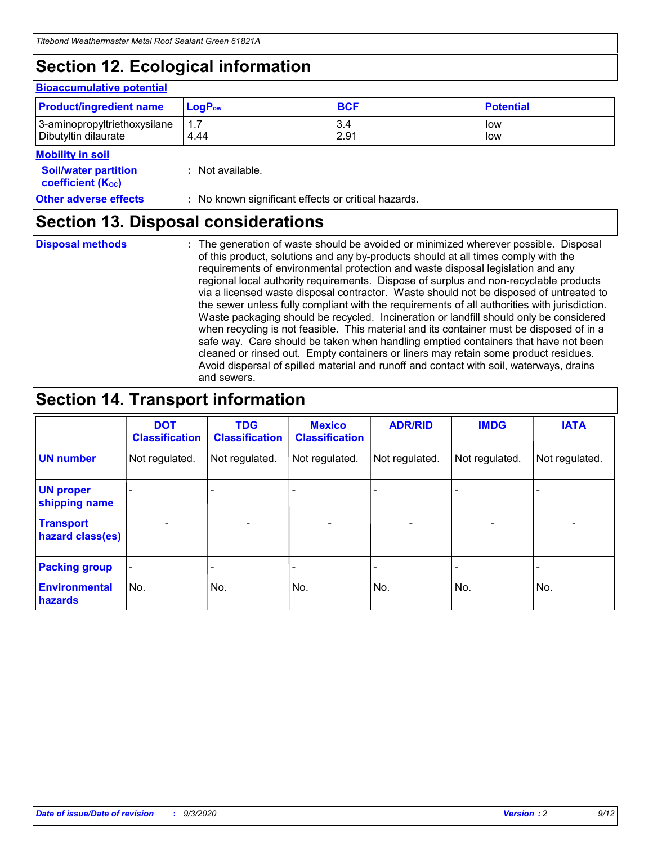## **Section 12. Ecological information**

#### **Bioaccumulative potential**

| <b>Product/ingredient name</b> | $\mathsf{LogP}_\mathsf{ow}$ | <b>BCF</b> | <b>Potential</b> |
|--------------------------------|-----------------------------|------------|------------------|
| 3-aminopropyltriethoxysilane   | 1.7                         | 3.4        | low              |
| Dibutyltin dilaurate           | 4.44                        | 2.91       | low              |

#### **Mobility in soil**

| <b>INIUDIIILY III SUIL</b>                                    |                                                     |
|---------------------------------------------------------------|-----------------------------------------------------|
| <b>Soil/water partition</b><br>coefficient (K <sub>oc</sub> ) | : Not available.                                    |
| <b>Other adverse effects</b>                                  | : No known significant effects or critical hazards. |

### **Section 13. Disposal considerations**

**Disposal methods :**

The generation of waste should be avoided or minimized wherever possible. Disposal of this product, solutions and any by-products should at all times comply with the requirements of environmental protection and waste disposal legislation and any regional local authority requirements. Dispose of surplus and non-recyclable products via a licensed waste disposal contractor. Waste should not be disposed of untreated to the sewer unless fully compliant with the requirements of all authorities with jurisdiction. Waste packaging should be recycled. Incineration or landfill should only be considered when recycling is not feasible. This material and its container must be disposed of in a safe way. Care should be taken when handling emptied containers that have not been cleaned or rinsed out. Empty containers or liners may retain some product residues. Avoid dispersal of spilled material and runoff and contact with soil, waterways, drains and sewers.

### **Section 14. Transport information**

|                                      | <b>DOT</b><br><b>Classification</b> | <b>TDG</b><br><b>Classification</b> | <b>Mexico</b><br><b>Classification</b> | <b>ADR/RID</b>           | <b>IMDG</b>              | <b>IATA</b>    |
|--------------------------------------|-------------------------------------|-------------------------------------|----------------------------------------|--------------------------|--------------------------|----------------|
| <b>UN number</b>                     | Not regulated.                      | Not regulated.                      | Not regulated.                         | Not regulated.           | Not regulated.           | Not regulated. |
| <b>UN proper</b><br>shipping name    |                                     |                                     |                                        |                          |                          |                |
| <b>Transport</b><br>hazard class(es) |                                     | $\overline{\phantom{0}}$            | $\qquad \qquad \blacksquare$           | $\overline{\phantom{0}}$ | $\overline{\phantom{0}}$ |                |
| <b>Packing group</b>                 |                                     |                                     |                                        |                          |                          |                |
| <b>Environmental</b><br>hazards      | No.                                 | No.                                 | No.                                    | No.                      | No.                      | No.            |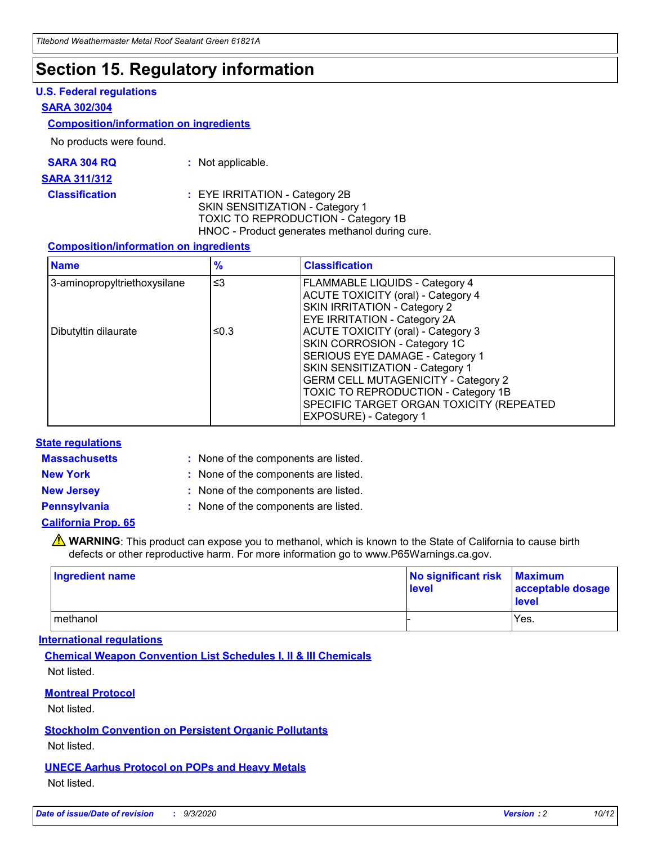### **Section 15. Regulatory information**

#### **U.S. Federal regulations**

#### **SARA 302/304**

#### **Composition/information on ingredients**

No products were found.

| SARA 304 RQ | Not applicable. |
|-------------|-----------------|
|-------------|-----------------|

#### **SARA 311/312**

**Classification :** EYE IRRITATION - Category 2B SKIN SENSITIZATION - Category 1 TOXIC TO REPRODUCTION - Category 1B HNOC - Product generates methanol during cure.

#### **Composition/information on ingredients**

| <b>Name</b>                  | $\frac{9}{6}$ | <b>Classification</b>                                                                                                                                                                                                                                                                                      |
|------------------------------|---------------|------------------------------------------------------------------------------------------------------------------------------------------------------------------------------------------------------------------------------------------------------------------------------------------------------------|
| 3-aminopropyltriethoxysilane | $\leq$ 3      | <b>FLAMMABLE LIQUIDS - Category 4</b><br><b>ACUTE TOXICITY (oral) - Category 4</b><br><b>SKIN IRRITATION - Category 2</b><br>EYE IRRITATION - Category 2A                                                                                                                                                  |
| Dibutyltin dilaurate         | ≤0.3          | <b>ACUTE TOXICITY (oral) - Category 3</b><br>SKIN CORROSION - Category 1C<br>SERIOUS EYE DAMAGE - Category 1<br>SKIN SENSITIZATION - Category 1<br><b>GERM CELL MUTAGENICITY - Category 2</b><br>TOXIC TO REPRODUCTION - Category 1B<br>SPECIFIC TARGET ORGAN TOXICITY (REPEATED<br>EXPOSURE) - Category 1 |

#### **State regulations**

**Massachusetts :**

: None of the components are listed.

**New York :** None of the components are listed. **New Jersey :** None of the components are listed.

**Pennsylvania :** None of the components are listed.

#### **California Prop. 65**

WARNING: This product can expose you to methanol, which is known to the State of California to cause birth defects or other reproductive harm. For more information go to www.P65Warnings.ca.gov.

| Ingredient name | No significant risk<br>level | <b>Maximum</b><br>acceptable dosage<br>level |
|-----------------|------------------------------|----------------------------------------------|
| methanol        |                              | Yes.                                         |

#### **International regulations**

**Chemical Weapon Convention List Schedules I, II & III Chemicals** Not listed.

#### **Montreal Protocol**

Not listed.

**Stockholm Convention on Persistent Organic Pollutants**

Not listed.

#### **UNECE Aarhus Protocol on POPs and Heavy Metals** Not listed.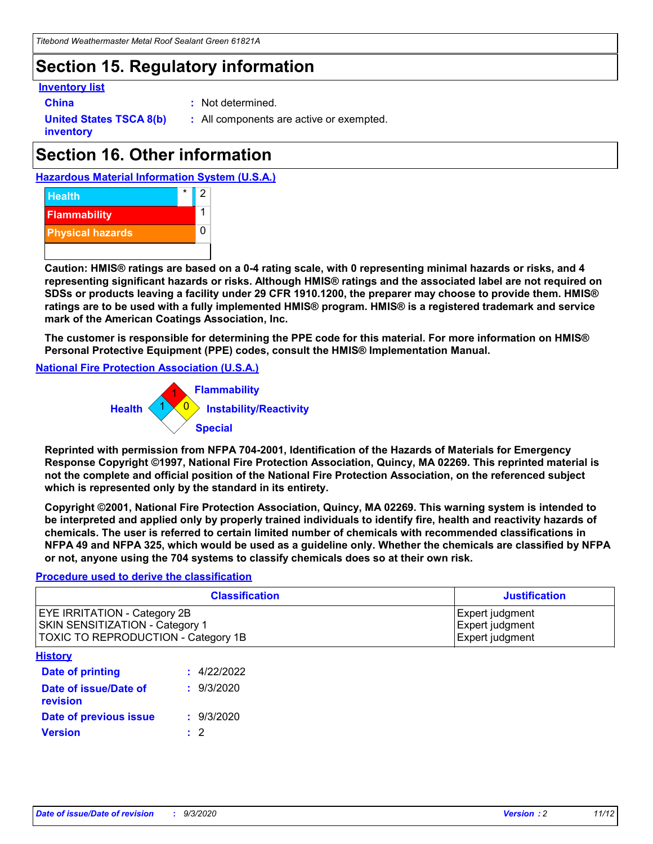## **Section 15. Regulatory information**

#### **Inventory list**

- 
- **China :** Not determined.

**United States TSCA 8(b) inventory**

**:** All components are active or exempted.

## **Section 16. Other information**





**Caution: HMIS® ratings are based on a 0-4 rating scale, with 0 representing minimal hazards or risks, and 4 representing significant hazards or risks. Although HMIS® ratings and the associated label are not required on SDSs or products leaving a facility under 29 CFR 1910.1200, the preparer may choose to provide them. HMIS® ratings are to be used with a fully implemented HMIS® program. HMIS® is a registered trademark and service mark of the American Coatings Association, Inc.**

**The customer is responsible for determining the PPE code for this material. For more information on HMIS® Personal Protective Equipment (PPE) codes, consult the HMIS® Implementation Manual.**

**National Fire Protection Association (U.S.A.)**



**Reprinted with permission from NFPA 704-2001, Identification of the Hazards of Materials for Emergency Response Copyright ©1997, National Fire Protection Association, Quincy, MA 02269. This reprinted material is not the complete and official position of the National Fire Protection Association, on the referenced subject which is represented only by the standard in its entirety.**

**Copyright ©2001, National Fire Protection Association, Quincy, MA 02269. This warning system is intended to be interpreted and applied only by properly trained individuals to identify fire, health and reactivity hazards of chemicals. The user is referred to certain limited number of chemicals with recommended classifications in NFPA 49 and NFPA 325, which would be used as a guideline only. Whether the chemicals are classified by NFPA or not, anyone using the 704 systems to classify chemicals does so at their own risk.**

#### **Procedure used to derive the classification**

| <b>Classification</b>                                                                                         | <b>Justification</b>                                  |
|---------------------------------------------------------------------------------------------------------------|-------------------------------------------------------|
| <b>EYE IRRITATION - Category 2B</b><br>SKIN SENSITIZATION - Category 1<br>TOXIC TO REPRODUCTION - Category 1B | Expert judgment<br>Expert judgment<br>Expert judgment |
| <b>History</b>                                                                                                |                                                       |

| .                                 |             |
|-----------------------------------|-------------|
| Date of printing                  | : 4/22/2022 |
| Date of issue/Date of<br>revision | : 9/3/2020  |
| Date of previous issue            | : 9/3/2020  |
| <b>Version</b>                    | $\cdot$ 2   |
|                                   |             |